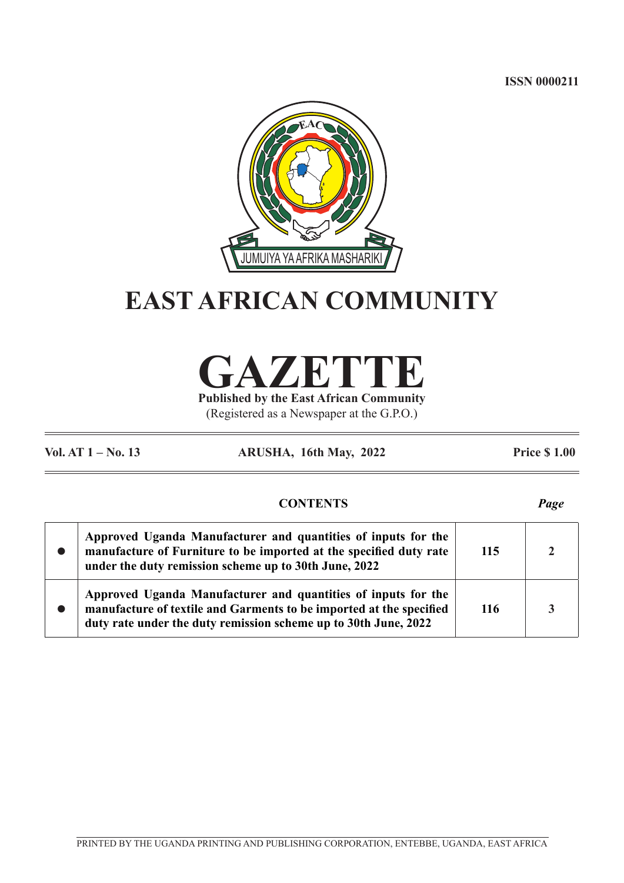**ISSN 0000211**



# **EAST AFRICAN COMMUNITY**

**GAZETTE**

**Published by the East African Community** (Registered as a Newspaper at the G.P.O.)

**Vol. AT 1 – No. 13 ARUSHA, 16th May, 2022 Price \$ 1.00**

# **CONTENTS** *Page*

 $\bullet$ **Approved Uganda Manufacturer and quantities of inputs for the manufacture of Furniture to be imported at the specified duty rate under the duty remission scheme up to 30th June, 2022 115 2**  $\bullet$ **Approved Uganda Manufacturer and quantities of inputs for the manufacture of textile and Garments to be imported at the specified duty rate under the duty remission scheme up to 30th June, 2022 116 3**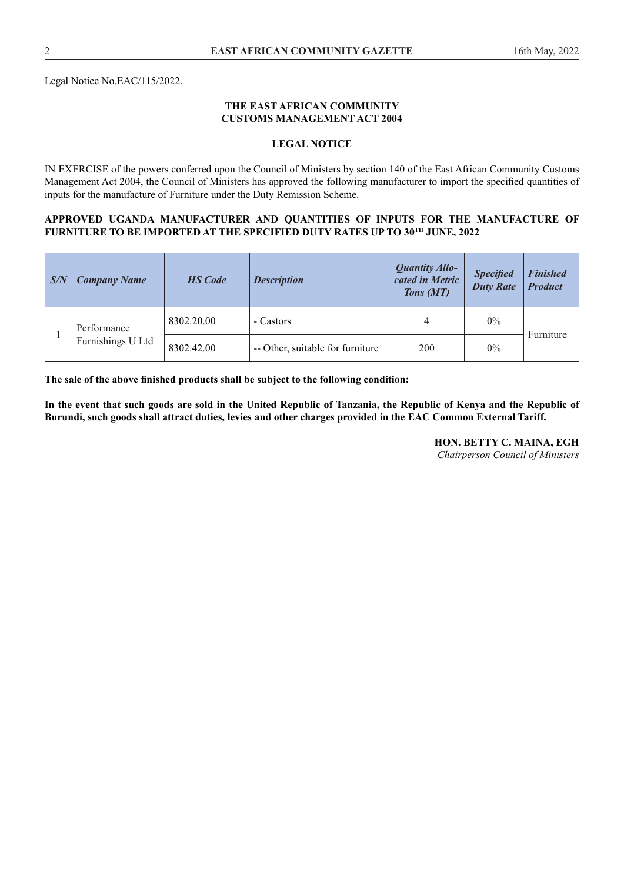Legal Notice No.EAC/115/2022.

## **THE EAST AFRICAN COMMUNITY CUSTOMS MANAGEMENT ACT 2004**

## **LEGAL NOTICE**

IN EXERCISE of the powers conferred upon the Council of Ministers by section 140 of the East African Community Customs Management Act 2004, the Council of Ministers has approved the following manufacturer to import the specified quantities of inputs for the manufacture of Furniture under the Duty Remission Scheme.

## **APPROVED UGANDA MANUFACTURER AND QUANTITIES OF INPUTS FOR THE MANUFACTURE OF FURNITURE TO BE IMPORTED AT THE SPECIFIED DUTY RATES UP TO 30TH JUNE, 2022**

| $\sqrt{S/N}$ | <b>Company Name</b>              | <b>HS</b> Code | <b>Description</b>               | <b>Quantity Allo-</b><br>cated in Metric<br>Tons (MT) | <b>Specified</b><br><b>Duty Rate</b> | <b>Finished</b><br><b>Product</b> |
|--------------|----------------------------------|----------------|----------------------------------|-------------------------------------------------------|--------------------------------------|-----------------------------------|
|              | Performance<br>Furnishings U Ltd | 8302.20.00     | - Castors                        |                                                       | $0\%$                                | Furniture                         |
|              |                                  | 8302.42.00     | -- Other, suitable for furniture | 200                                                   | $0\%$                                |                                   |

**The sale of the above finished products shall be subject to the following condition:** 

**In the event that such goods are sold in the United Republic of Tanzania, the Republic of Kenya and the Republic of Burundi, such goods shall attract duties, levies and other charges provided in the EAC Common External Tariff.** 

> **HON. BETTY C. MAINA, EGH**  *Chairperson Council of Ministers*